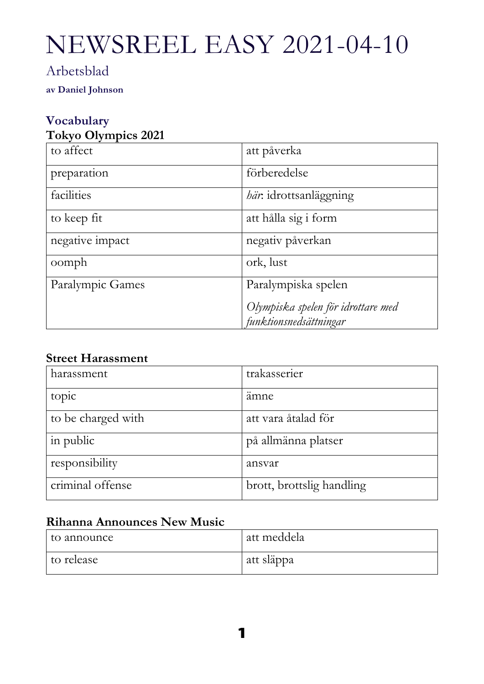# NEWSREEL EASY 2021-04-10

# Arbetsblad

**av Daniel Johnson**

# **Vocabulary**

## **Tokyo Olympics 2021**

| to affect        | att påverka                        |
|------------------|------------------------------------|
| preparation      | förberedelse                       |
| facilities       | <i>här</i> : idrottsanläggning     |
| to keep fit      | att hålla sig i form               |
| negative impact  | negativ påverkan                   |
| oomph            | ork, lust                          |
| Paralympic Games | Paralympiska spelen                |
|                  | Olympiska spelen för idrottare med |
|                  | funktionsnedsättningar             |

### **Street Harassment**

| harassment         | trakasserier              |
|--------------------|---------------------------|
| topic              | ämne                      |
| to be charged with | att vara åtalad för       |
| in public          | på allmänna platser       |
| responsibility     | ansvar                    |
| criminal offense   | brott, brottslig handling |

## **Rihanna Announces New Music**

| to announce | l att meddela |
|-------------|---------------|
| to release  | att släppa    |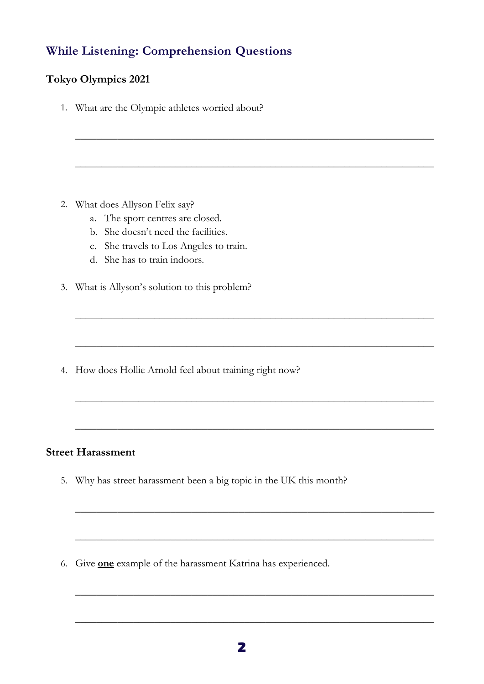# **While Listening: Comprehension Questions**

#### **Tokyo Olympics 2021**

1. What are the Olympic athletes worried about?

\_\_\_\_\_\_\_\_\_\_\_\_\_\_\_\_\_\_\_\_\_\_\_\_\_\_\_\_\_\_\_\_\_\_\_\_\_\_\_\_\_\_\_\_\_\_\_\_\_\_\_\_\_\_\_\_\_\_\_\_\_\_\_\_\_\_\_\_

 $\_$  , and the contribution of the contribution of  $\mathcal{L}_1$  , and the contribution of  $\mathcal{L}_2$  , and the contribution of  $\mathcal{L}_1$ 

\_\_\_\_\_\_\_\_\_\_\_\_\_\_\_\_\_\_\_\_\_\_\_\_\_\_\_\_\_\_\_\_\_\_\_\_\_\_\_\_\_\_\_\_\_\_\_\_\_\_\_\_\_\_\_\_\_\_\_\_\_\_\_\_\_\_\_\_

\_\_\_\_\_\_\_\_\_\_\_\_\_\_\_\_\_\_\_\_\_\_\_\_\_\_\_\_\_\_\_\_\_\_\_\_\_\_\_\_\_\_\_\_\_\_\_\_\_\_\_\_\_\_\_\_\_\_\_\_\_\_\_\_\_\_\_\_

 $\_$  , and the contribution of the contribution of  $\mathcal{L}_1$  , and the contribution of  $\mathcal{L}_2$  , and the contribution of  $\mathcal{L}_1$ 

\_\_\_\_\_\_\_\_\_\_\_\_\_\_\_\_\_\_\_\_\_\_\_\_\_\_\_\_\_\_\_\_\_\_\_\_\_\_\_\_\_\_\_\_\_\_\_\_\_\_\_\_\_\_\_\_\_\_\_\_\_\_\_\_\_\_\_\_

 $\_$  , and the contribution of the contribution of  $\mathcal{L}_1$  , and the contribution of  $\mathcal{L}_2$ 

\_\_\_\_\_\_\_\_\_\_\_\_\_\_\_\_\_\_\_\_\_\_\_\_\_\_\_\_\_\_\_\_\_\_\_\_\_\_\_\_\_\_\_\_\_\_\_\_\_\_\_\_\_\_\_\_\_\_\_\_\_\_\_\_\_\_\_\_

 $\_$  , and the contribution of the contribution of  $\mathcal{L}_1$  , and the contribution of  $\mathcal{L}_2$  , and the contribution of  $\mathcal{L}_1$ 

\_\_\_\_\_\_\_\_\_\_\_\_\_\_\_\_\_\_\_\_\_\_\_\_\_\_\_\_\_\_\_\_\_\_\_\_\_\_\_\_\_\_\_\_\_\_\_\_\_\_\_\_\_\_\_\_\_\_\_\_\_\_\_\_\_\_\_\_

- 2. What does Allyson Felix say?
	- a. The sport centres are closed.
	- b. She doesn't need the facilities.
	- c. She travels to Los Angeles to train.
	- d. She has to train indoors.
- 3. What is Allyson's solution to this problem?

4. How does Hollie Arnold feel about training right now?

#### **Street Harassment**

5. Why has street harassment been a big topic in the UK this month?

6. Give **one** example of the harassment Katrina has experienced.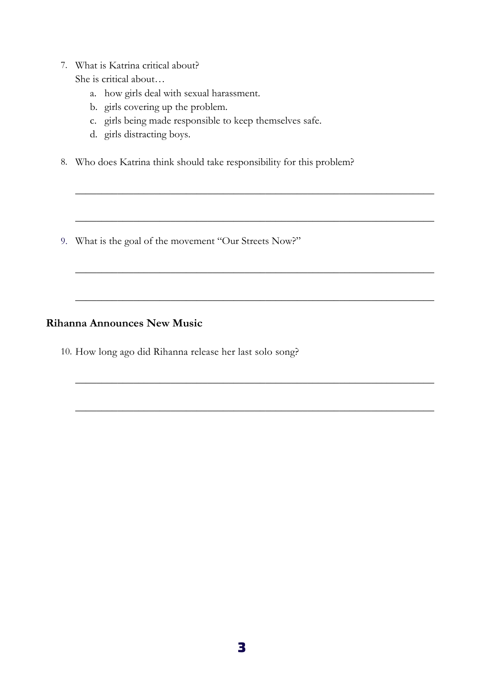7. What is Katrina critical about?

She is critical about…

- a. how girls deal with sexual harassment.
- b. girls covering up the problem.
- c. girls being made responsible to keep themselves safe.
- d. girls distracting boys.
- 8. Who does Katrina think should take responsibility for this problem?

 $\_$  , and the contribution of the contribution of  $\mathcal{L}_1$  , and the contribution of  $\mathcal{L}_2$  , and the contribution of  $\mathcal{L}_1$ 

\_\_\_\_\_\_\_\_\_\_\_\_\_\_\_\_\_\_\_\_\_\_\_\_\_\_\_\_\_\_\_\_\_\_\_\_\_\_\_\_\_\_\_\_\_\_\_\_\_\_\_\_\_\_\_\_\_\_\_\_\_\_\_\_\_\_\_\_

\_\_\_\_\_\_\_\_\_\_\_\_\_\_\_\_\_\_\_\_\_\_\_\_\_\_\_\_\_\_\_\_\_\_\_\_\_\_\_\_\_\_\_\_\_\_\_\_\_\_\_\_\_\_\_\_\_\_\_\_\_\_\_\_\_\_\_\_

\_\_\_\_\_\_\_\_\_\_\_\_\_\_\_\_\_\_\_\_\_\_\_\_\_\_\_\_\_\_\_\_\_\_\_\_\_\_\_\_\_\_\_\_\_\_\_\_\_\_\_\_\_\_\_\_\_\_\_\_\_\_\_\_\_\_\_\_

\_\_\_\_\_\_\_\_\_\_\_\_\_\_\_\_\_\_\_\_\_\_\_\_\_\_\_\_\_\_\_\_\_\_\_\_\_\_\_\_\_\_\_\_\_\_\_\_\_\_\_\_\_\_\_\_\_\_\_\_\_\_\_\_\_\_\_\_

 $\_$  , and the contribution of the contribution of  $\mathcal{L}_1$  , and the contribution of  $\mathcal{L}_2$  , and the contribution of  $\mathcal{L}_1$ 

9. What is the goal of the movement "Our Streets Now?"

#### **Rihanna Announces New Music**

10. How long ago did Rihanna release her last solo song?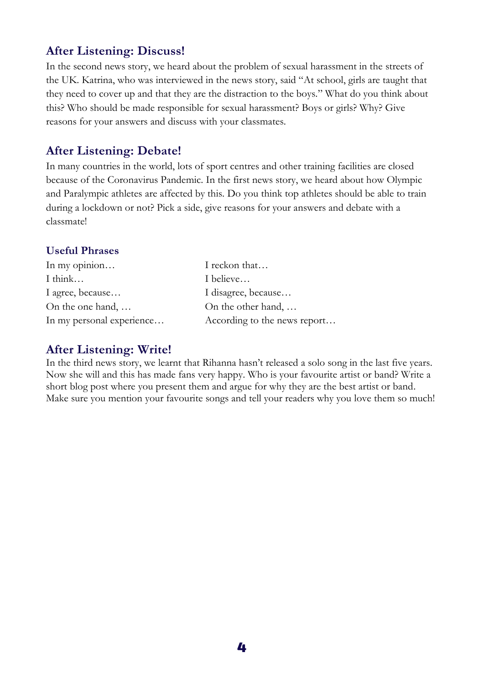## **After Listening: Discuss!**

In the second news story, we heard about the problem of sexual harassment in the streets of the UK. Katrina, who was interviewed in the news story, said "At school, girls are taught that they need to cover up and that they are the distraction to the boys." What do you think about this? Who should be made responsible for sexual harassment? Boys or girls? Why? Give reasons for your answers and discuss with your classmates.

## **After Listening: Debate!**

In many countries in the world, lots of sport centres and other training facilities are closed because of the Coronavirus Pandemic. In the first news story, we heard about how Olympic and Paralympic athletes are affected by this. Do you think top athletes should be able to train during a lockdown or not? Pick a side, give reasons for your answers and debate with a classmate!

#### **Useful Phrases**

| In my opinion             | I reckon that                |
|---------------------------|------------------------------|
| I think                   | I believe                    |
| I agree, because          | I disagree, because          |
| On the one hand,          | On the other hand,           |
| In my personal experience | According to the news report |

## **After Listening: Write!**

In the third news story, we learnt that Rihanna hasn't released a solo song in the last five years. Now she will and this has made fans very happy. Who is your favourite artist or band? Write a short blog post where you present them and argue for why they are the best artist or band. Make sure you mention your favourite songs and tell your readers why you love them so much!